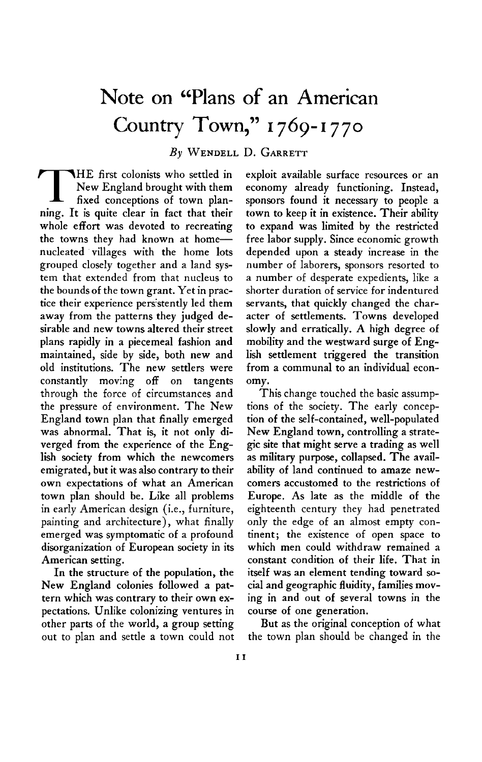## **Note on "Plans of an American Country Town," I 769-1770**

**By WENDELL D. GARRETT** 

**THE first colonists who settled in New England brought with them** fixed conceptions of town plan-**New England brought with them fixed conceptions of town planning. It is quite clear in fact that their whole effort was devoted to recreating the towns they had known at homenucleated villages with the home lots grouped closely together and a land system that extended from that nucleus to the bounds of the town grant. Yet in practice their experience pers'stently led them away from the patterns they judged desirable and new towns altered their street plans rapidly in a piecemeal fashion and maintained, side by side, both new and old institutions. The new settlers were constantly moving off on tangents through the force of circumstances and the pressure of environment. The New England town plan that finally emerged was abnormal. That is, it not only diverged from the experience of the English society from which the newcomers emigrated, but it was also contrary to their own expectations of what an American town plan should be. Like all problems in early American design (i.e., furniture, painting and architecture), what finally emerged was symptomatic of a profound disorganization of European society in its American setting.** 

**In the structure of the population, the New England colonies followed a pattern which was contrary to their own expectations. Unlike colonizing ventures in other parts of the world, a group setting out to plan and settle a town could not**  **exploit available surface resources or an economy already functioning. Instead, sponsors found it necessary to people a town to keep it in existence. Their ability to expand was limited by the restricted free labor supply. Since economic growth depended upon a steady increase in the number of laborers, sponsors resorted to a number of desperate expedients, like a shorter duration of service for indentured servants, that quickly changed the character of settlements. Towns developed slowly and erratically. A high degree of mobility and the westward surge of English settlement triggered the transition from a communal to an individual economy.** 

**This change touched the basic assumptions of the society. The early conception of the self-contained, well-populated New England town, controlling a strategic site that might serve a trading as well as military purpose, collapsed. The availability of land continued to amaze newcomers accustomed to the restrictions of Europe. As late as the middle of the eighteenth century they had penetrated only the edge of an almost empty continent; the existence of open space to which men could withdraw remained a constant condition of their life. That in itself was an element tending toward social and geographic fluidity, families moving in and out of several towns in the course of one generation.** 

**But as the original conception of what the town plan should be changed in the**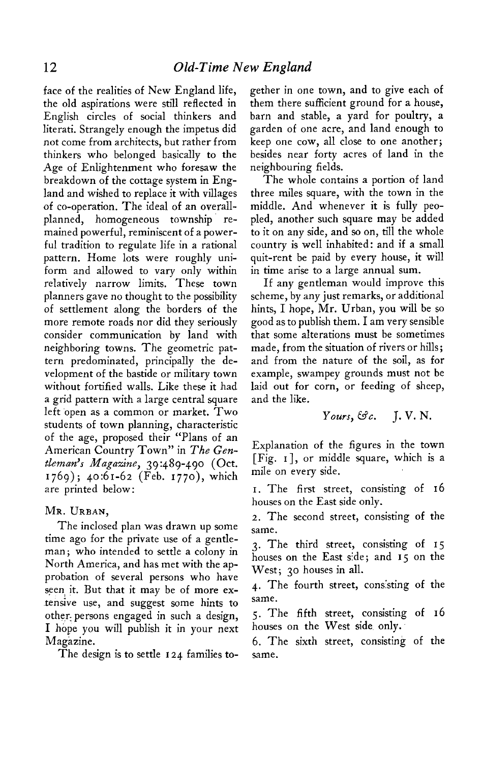**face of the realities of New England life, the old aspirations were still reflected in English circles of social thinkers and literati. Strangely enough the impetus did not come from architects, but rather from thinkers who belonged basically to the Age of Enlightenment who foresaw the breakdown of the cottage system in England and wished to replace it with villages of co-operation. The ideal of an overallplanned, homogeneous township. remained powerful, reminiscent of a powerful tradition to regulate life in a rational pattern. Home lots were roughly uniform and allowed to vary only within relatively narrow limits. These town planners gave no thought to the possibility of settlement along the borders of the more remote roads nor did they seriously consider communication by land with neighboring towns. The geometric pattern predominated, principally the development of the bastide or military town without fortified walls. Like these it had a grid pattern with a large central square left open as a common or market. Two students of town planning, characteristic of the age, proposed their "Plans of an American Country Town" in The Gentlemans ' Magazine, 39 :489-490 (Oct. 1769); 40:61-62 (Feb. 1770), which are printed below:** 

## **MR. URBAN,**

**The inclosed plan was drawn up some time ago for the private use of a gentleman; who intended to settle a colony in North America, and has met with the approbation of several persons who have seen: it. But that it may be of more extensrve use, and suggest some hints to**  other persons engaged in such a design, **I hope you will publish it in your next Magazine.** 

**The design is to settle I 24 families to-**

**gether in one town, and to give each of them there sufficient ground for a house, barn and stable, a yard for poultry, a garden of one acre, and land enough to keep one cow, all close to one another; besides near forty acres of land in the neighbouring fields.** 

**The whole contains a portion of land three miles square, with the town in the middle. And whenever it is fully peopled, another such square may be added to it on any side, and so on, till the whole country is well inhabited: and if a small quit-rent be paid by every house, it will in time arise to a large annual sum.** 

**If any gentleman would improve this scheme, by any just remarks, or additional hints, I hope, Mr. Urban, you will be so good as to publish them. I am very sensible that some alterations must be sometimes made, from the situation of rivers or hills; and from the nature of the soil, as for example, swampey grounds must not be laid out for corn, or feeding of sheep, and the like.** 

$$
Young, \mathfrak{S}c. \quad J. V. N.
$$

**Explanation of the figures in the town [Fig. I 1, or middle square, which is a mile on every side.** 

**I. The first street, consisting of 16 houses on the East side only.** 

**2. The second street, consisting of the same.** 

**3. The third street, consisting of 15 houses on the East side; and 15 on the West; 30 houses in all.** 

**4. The fourth street, conssting of the same.** 

**5. The fifth street, consisting of 16 houses on the West side only.** 

**6. The sixth street, consisting of the same.**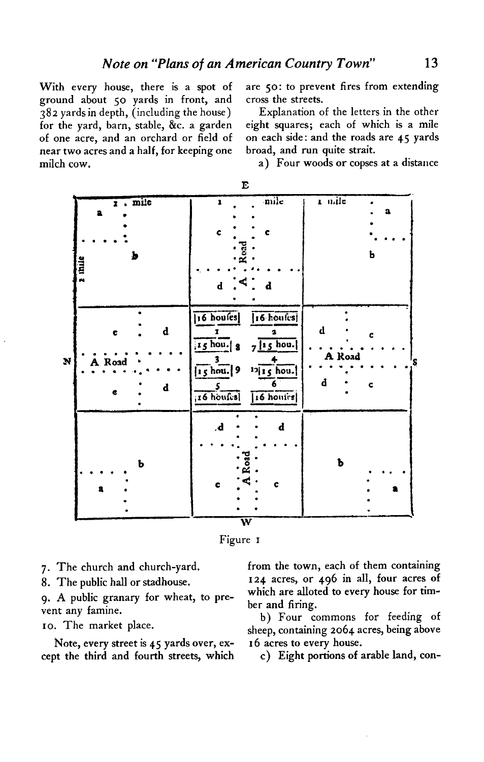With every house, there is a spot of ground about 50 yards in front, and 382 yards in depth, (including the house) for the yard, barn, stable, &c. a garden of one acre, and an orchard or field of near two acres and a half, for keeping one milch cow.

are 50: to prevent fires from extending cross the streets.

Explanation of the letters in the other eight squares; each of which is a mile on each side: and the roads are 45 yards broad, and run quite strait.

a) Four woods or copses at a distance

|              |                                 | ້                                                                                                                                                                                                    |                                 |
|--------------|---------------------------------|------------------------------------------------------------------------------------------------------------------------------------------------------------------------------------------------------|---------------------------------|
| s this       | $\overline{x}$ . mile<br>a<br>ь | mile<br>ı<br>¢<br>C<br>Road<br>$\mathbf{a} \cdot^{\mathbf{A}}$ . $\mathbf{b}$                                                                                                                        | k n.ile<br>$\mathbf a$<br>Ь     |
| $\mathbf{N}$ | d<br>c<br>A Road<br>d           | $16$ houses<br>[16 houles]<br>$\mathbf{r}$<br>$\bullet$<br>$7 \mid 15 \mid 8$ 7 $ 15 \mid 100$ .<br>$\frac{4}{12 15}$ hou.<br>$\frac{3}{15}$ hou. 9<br>6<br>5 <sub>z</sub><br>[16 houses] [16 house] | d<br>c<br>A Road<br>S<br>d<br>C |
|              | b<br>a                          | $\mathbf d$<br>d<br>$\ddot{\textbf{c}}$<br>¢                                                                                                                                                         | b                               |



- 7. The church and church-yard.
- 8. The public hall or stadhouse.

9. A public granary for wheat, to prevent any famine.

10. The market place.

Note, every street is 45 yards over, except the third and fourth streets, which

from the town, each of them containing 124 acres, or 496 in all, four acres of which are alloted to every house for timber and firing.

b) Four commons for feeding of sheep, containing 2064 acres, being above 16 acres to every house.

c) Eight portions of arable land, con-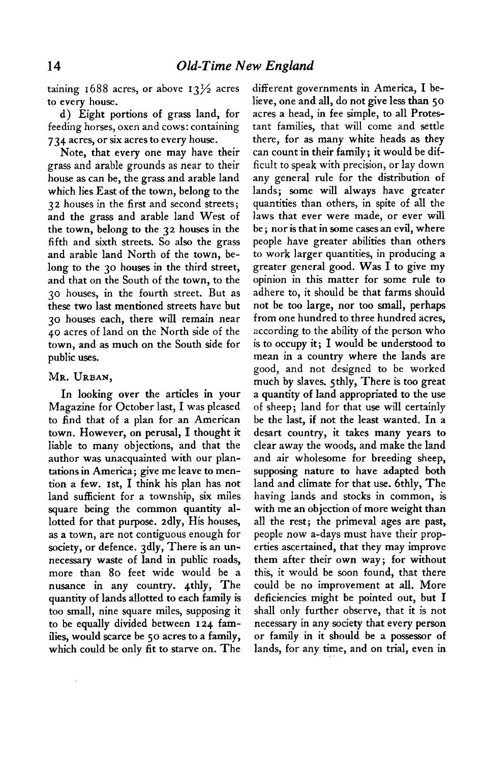**taining 1688 acres, or above**  $13\frac{1}{2}$  **acres to every house.** 

**d) Eight portions of grass land, for feeding horses, oxen and cows: containing 734 acres, or six acres to every house.** 

**Note, that every one may have their grass and arable grounds as near to their house as can be, the grass and arable land which lies East of the town, belong to the 32 houses in the first and second streets; and the grass and arable land West of the town, belong to the 32 houses in the fifth and sixth streets. So also the grass and arable land North of the town, belong to the 30 houses in the third street, and that on the South of the town, to the 30 houses, in the fourth street. But as these two last mentioned streets have but 30 houses each, there will remain near 40 acres of land on the North side of the town, and as much on the South side for public uses.** 

## **MR. URBAN,**

**In looking over the articles in your Magazine for October last, I was pleased to find that of a plan for an American town. However, on perusal, I thought it liable to many objections, and that the author was unacquainted with our plantations in America; give me leave to mention a few. Ist, I think his plan has not land sufficient for a township, six miles square being the common quantity allotted for that purpose. 2dly, His houses, as a town, are not contiguous enough for society, or defence. 3dly, There is an unnecessary waste of land in public roads, more than 80 feet wide would be a nusance in any country. 4thly, The quantity of lands allotted to each family is too small, nine square miles, supposing it to be equally divided between 124 families, would scarce be 50 acres to a family, which could be only fit to starve on. The** 

**different governments in America, I believe, one and all, do not give less than 50 acres a head, in fee simple, to all Protestant families, that will come and settle there, for as many white heads as they can count in their family; it would be difficult to speak with precision, or lay down any general rule for the distribution of lands; some will always have greater quantities than others, in spite of all the laws that ever were made, or ever will be ; nor is that in some cases an evil, where people have greater abilities than others to work larger quantities, in producing a greater general good. Was I to give my opinion in this matter for some rule to adhere to, it should be that farms should not be too large, nor too small, perhaps from one hundred to three hundred acres, according to the ability of the person who is to occupy it; I would be understood to mean in a country where the lands are good, and not designed to be worked much by slaves. 5thly, There is too great a quantity of land appropriated to the use of sheep; land for that use will certainly be the last, if not the least wanted. In a desart country, it takes many years to clear away the woods, and make the land and air wholesome for breeding sheep, supposing nature to have adapted both land and climate for that use. 6thly, The having lands and stocks in common, is with me an objection of more weight than all the rest; the primeval ages are past, people now a-days must have their properties ascertained, that they may improve them after their own way; for without this, it would be soon found, that there could be no improvement at all. More deficiencies might be pointed out, but I shall only further observe, that it is not necessary in any society that every person or family in it should be a possessor of lands, for any time, and on trial, even in**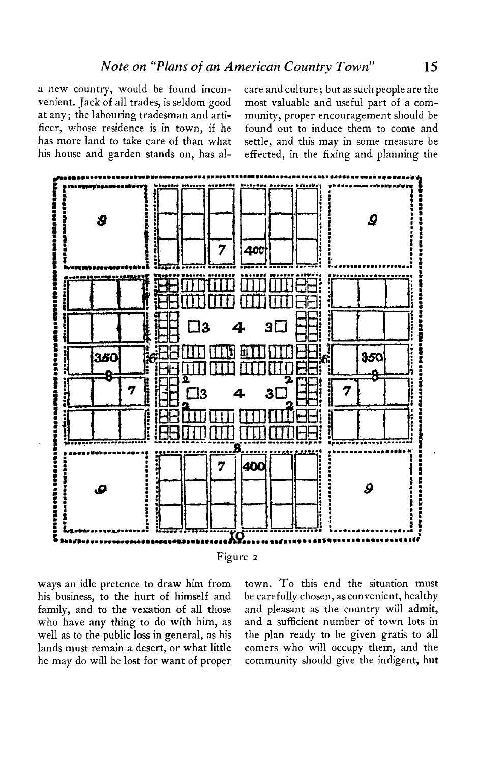**a new country, would be found incon- care and culture ; but as such people are the venient. Jack of all trades, is seldom good most valuable and useful part of a comat any; the labouring tradesman and arti- munity, proper encouragement should be his house and garden stands on, has al- effected, in the fixing and planning the** 

**ficer, whose residence is in town, if he found out to induce them to come and has more land to take care of than what settle, and this may in some measure be** 



**his business, to the hurt of himself and be carefully chosen, as convenient, healthy family, and to the vexation of all those and pleasant as the country will admit, who have any thing to do with him, as and a sufficient number of town lots in well as to the public loss in general, as his the plan ready to be given gratis to all lands must remain a desert, or what little comers who will occupy them, and the he may do will be lost for want of proper community should give the indigent, but** 

**ways an idle pretence to draw him from town. To this end the situation must**